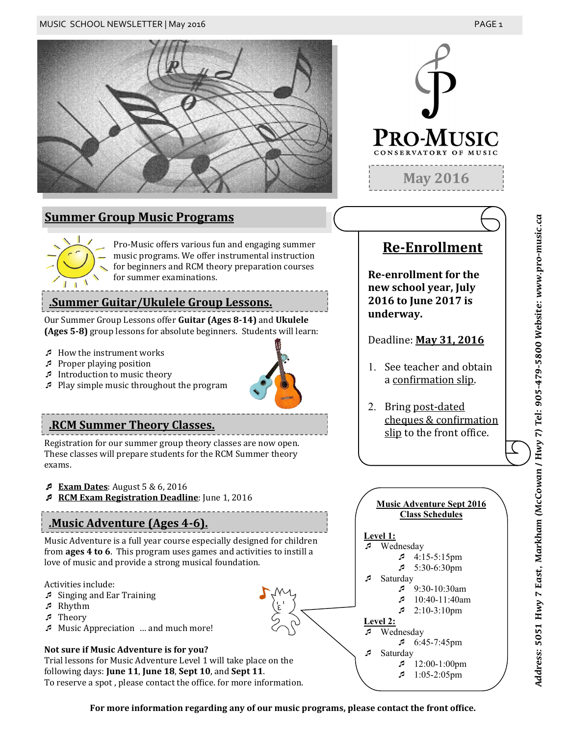





Pro-Music offers various fun and engaging summer music programs. We offer instrumental instruction for beginners and RCM theory preparation courses for summer examinations.

## **.Summer Guitar/Ukulele Group Lessons.**

Our Summer Group Lessons offer **Guitar (Ages 8-14)** and **Ukulele (Ages 5-8)** group lessons for absolute beginners. Students will learn:

- How the instrument works
- $\sqrt{P}$  Proper playing position
- Introduction to music theory
- Play simple music throughout the program

Registration for our summer group theory classes are now open. These classes will prepare students for the RCM Summer theory exams.

- **Exam Dates:** August 5 & 6, 2016
- **RCM Exam Registration Deadline**: June 1, 2016

# **.Music Adventure (Ages 4-6).**

Music Adventure is a full year course especially designed for children from **ages 4 to 6**. This program uses games and activities to instill a love of music and provide a strong musical foundation.

Activities include:

- Singing and Ear Training
- Rhythm
- Theory
- Music Appreciation … and much more!

### **Not sure if Music Adventure is for you?**

Trial lessons for Music Adventure Level 1 will take place on the following days: **June 11**, **June 18**, **Sept 10**, and **Sept 11**. To reserve a spot , please contact the office. for more information.



# **Re-Enrollment**

**Re-enrollment for the new school year, July 2016 to June 2017 is underway.** 

Deadline: **May 31, 2016**

- 1. See teacher and obtain a confirmation slip.
- 2. Bring post-dated cheques & confirmation **RCM Summer Theory Classes.**<br> **.RCM Summer Theory Classes.**<br> **.** Slip to the front office.



**For more information regarding any of our music programs, please contact the front office.**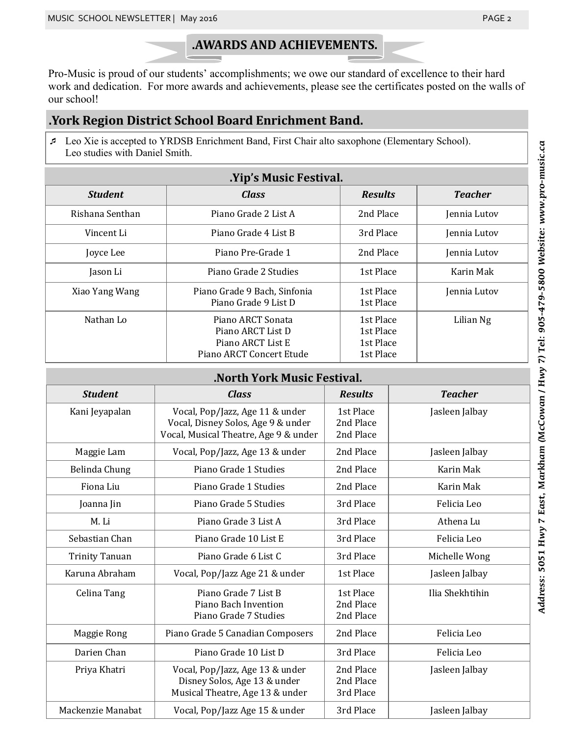## **.AWARDS AND ACHIEVEMENTS.**

Pro-Music is proud of our students' accomplishments; we owe our standard of excellence to their hard work and dedication. For more awards and achievements, please see the certificates posted on the walls of our school!

## **.York Region District School Board Enrichment Band.**

 Leo Xie is accepted to YRDSB Enrichment Band, First Chair alto saxophone (Elementary School). Leo studies with Daniel Smith.

| .Yip's Music Festival. |                                                                                         |                                                  |                |  |  |
|------------------------|-----------------------------------------------------------------------------------------|--------------------------------------------------|----------------|--|--|
| <b>Student</b>         | <b>Class</b>                                                                            | <b>Results</b>                                   | <b>Teacher</b> |  |  |
| Rishana Senthan        | Piano Grade 2 List A                                                                    | 2nd Place                                        | Jennia Lutov   |  |  |
| Vincent Li             | Piano Grade 4 List B                                                                    | 3rd Place                                        | Jennia Lutov   |  |  |
| Joyce Lee              | Piano Pre-Grade 1                                                                       | 2nd Place                                        | Jennia Lutov   |  |  |
| Jason Li               | Piano Grade 2 Studies                                                                   | 1st Place                                        | Karin Mak      |  |  |
| Xiao Yang Wang         | Piano Grade 9 Bach, Sinfonia<br>Piano Grade 9 List D                                    | 1st Place<br>1st Place                           | Jennia Lutov   |  |  |
| Nathan Lo              | Piano ARCT Sonata<br>Piano ARCT List D<br>Piano ARCT List E<br>Piano ARCT Concert Etude | 1st Place<br>1st Place<br>1st Place<br>1st Place | Lilian Ng      |  |  |

## **.North York Music Festival.**

| <b>Student</b>        | <b>Class</b>                                                                                                   | <b>Results</b>                      | <b>Teacher</b>  |  |  |  |
|-----------------------|----------------------------------------------------------------------------------------------------------------|-------------------------------------|-----------------|--|--|--|
| Kani Jeyapalan        | Vocal, Pop/Jazz, Age 11 & under<br>Vocal, Disney Solos, Age 9 & under<br>Vocal, Musical Theatre, Age 9 & under | 1st Place<br>2nd Place<br>2nd Place | Jasleen Jalbay  |  |  |  |
| Maggie Lam            | Vocal, Pop/Jazz, Age 13 & under                                                                                | 2nd Place                           | Jasleen Jalbay  |  |  |  |
| Belinda Chung         | Piano Grade 1 Studies                                                                                          | 2nd Place                           | Karin Mak       |  |  |  |
| Fiona Liu             | Piano Grade 1 Studies                                                                                          | 2nd Place                           | Karin Mak       |  |  |  |
| Joanna Jin            | Piano Grade 5 Studies                                                                                          | 3rd Place                           | Felicia Leo     |  |  |  |
| M. Li                 | Piano Grade 3 List A                                                                                           | 3rd Place                           | Athena Lu       |  |  |  |
| Sebastian Chan        | Piano Grade 10 List E                                                                                          | 3rd Place                           | Felicia Leo     |  |  |  |
| <b>Trinity Tanuan</b> | Piano Grade 6 List C                                                                                           | 3rd Place                           | Michelle Wong   |  |  |  |
| Karuna Abraham        | Vocal, Pop/Jazz Age 21 & under                                                                                 | 1st Place                           | Jasleen Jalbay  |  |  |  |
| Celina Tang           | Piano Grade 7 List B<br>Piano Bach Invention<br>Piano Grade 7 Studies                                          | 1st Place<br>2nd Place<br>2nd Place | Ilia Shekhtihin |  |  |  |
| Maggie Rong           | Piano Grade 5 Canadian Composers                                                                               | 2nd Place                           | Felicia Leo     |  |  |  |
| Darien Chan           | Piano Grade 10 List D                                                                                          | 3rd Place                           | Felicia Leo     |  |  |  |
| Priya Khatri          | Vocal, Pop/Jazz, Age 13 & under<br>Disney Solos, Age 13 & under<br>Musical Theatre, Age 13 & under             | 2nd Place<br>2nd Place<br>3rd Place | Jasleen Jalbay  |  |  |  |
| Mackenzie Manabat     | Vocal, Pop/Jazz Age 15 & under                                                                                 | 3rd Place                           | Jasleen Jalbay  |  |  |  |